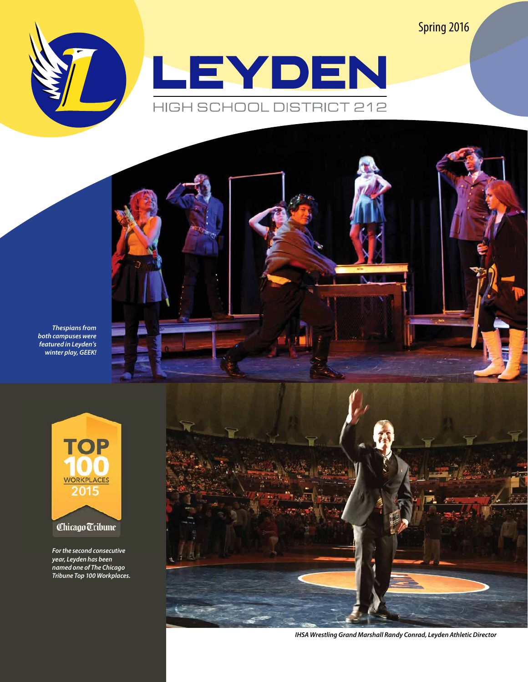Spring 2016



*Thespians from both campuses were featured in Leyden's winter play, GEEK!* 



*For the second consecutive year, Leyden has been named one of The Chicago Tribune Top 100 Workplaces.*



*IHSA Wrestling Grand Marshall Randy Conrad, Leyden Athletic Director*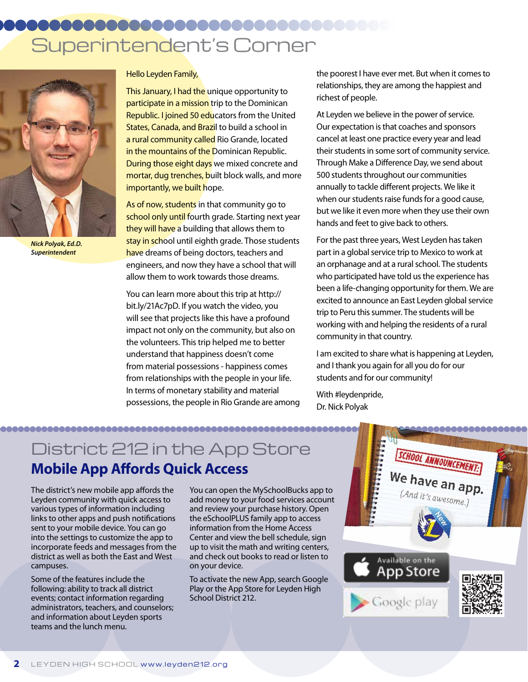# Superintendent's Corner



*Nick Polyak, Ed.D. Superintendent*

Hello Leyden Family,

This January, I had the unique opportunity to participate in a mission trip to the Dominican Republic. I joined 50 educators from the United States, Canada, and Brazil to build a school in a rural community called Rio Grande, located in the mountains of the Dominican Republic. **During those eight days** we mixed concrete and mortar, dug trenches, built block walls, and more importantly, we built hope.

As of now, students in that community go to school only until fourth grade. Starting next year they will have a building that allows them to stay in school until eighth grade. Those students have dreams of being doctors, teachers and engineers, and now they have a school that will allow them to work towards those dreams.

You can learn more about this trip at http:// bit.ly/21Ac7pD. If you watch the video, you will see that projects like this have a profound impact not only on the community, but also on the volunteers. This trip helped me to better understand that happiness doesn't come from material possessions - happiness comes from relationships with the people in your life. In terms of monetary stability and material possessions, the people in Rio Grande are among the poorest I have ever met. But when it comes to relationships, they are among the happiest and richest of people.

At Leyden we believe in the power of service. Our expectation is that coaches and sponsors cancel at least one practice every year and lead their students in some sort of community service. Through Make a Difference Day, we send about 500 students throughout our communities annually to tackle different projects. We like it when our students raise funds for a good cause, but we like it even more when they use their own hands and feet to give back to others.

For the past three years, West Leyden has taken part in a global service trip to Mexico to work at an orphanage and at a rural school. The students who participated have told us the experience has been a life-changing opportunity for them. We are excited to announce an East Leyden global service trip to Peru this summer. The students will be working with and helping the residents of a rural community in that country.

I am excited to share what is happening at Leyden, and I thank you again for all you do for our students and for our community!

With #leydenpride, Dr. Nick Polyak

### District 212 in the App Store **Mobile App Affords Quick Access**

The district's new mobile app affords the Leyden community with quick access to various types of information including links to other apps and push notifications sent to your mobile device. You can go into the settings to customize the app to incorporate feeds and messages from the district as well as both the East and West campuses.

Some of the features include the following: ability to track all district events; contact information regarding administrators, teachers, and counselors; and information about Leyden sports teams and the lunch menu.

You can open the MySchoolBucks app to add money to your food services account and review your purchase history. Open the eSchoolPLUS family app to access information from the Home Access Center and view the bell schedule, sign up to visit the math and writing centers, and check out books to read or listen to on your device.

To activate the new App, search Google Play or the App Store for Leyden High School District 212.

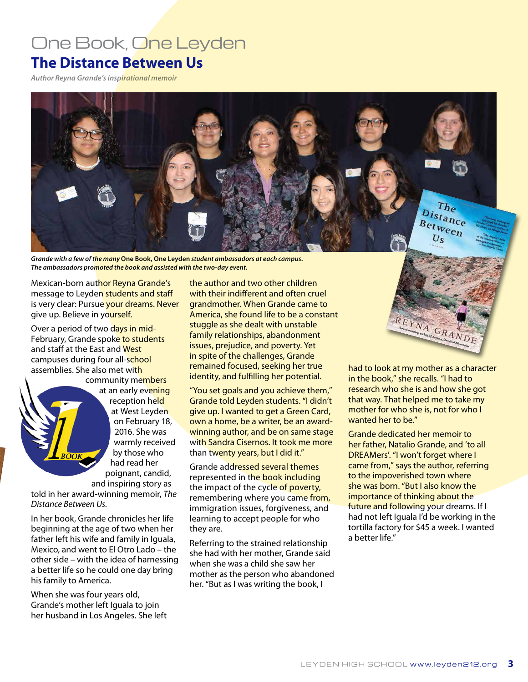### One Book, One Leyden

### **The Distance Between Us**

*Author Reyna Grande's inspirational memoir*



*Grande with a few of the many* **One Book, One Leyden** *student ambassadors at each campus. The ambassadors promoted the book and assisted with the two-day event.*

Mexican-born author Reyna Grande's message to Leyden students and staff is very clear: Pursue your dreams. Never give up. Believe in yourself.

Over a period of two days in mid-February, Grande spoke to students and staff at the East and West campuses during four all-school assemblies. She also met with

community members at an early evening reception held at West Leyden on February 18, 2016. She was warmly received by those who had read her poignant, candid, and inspiring story as

told in her award-winning memoir, *The Distance Between Us.*

In her book, Grande chronicles her life beginning at the age of two when her father left his wife and family in Iguala. Mexico, and went to El Otro Lado – the other side – with the idea of harnessing a better life so he could one day bring his family to America.

When she was four years old, Grande's mother left Iguala to join her husband in Los Angeles. She left

the author and two other children with their indifferent and often cruel grandmother. When Grande came to America, she found life to be a constant stuggle as she dealt with unstable family relationships, abandonment issues, prejudice, and poverty. Yet in spite of the challenges, Grande remained focused, seeking her true identity, and fulfilling her potential.

"You set goals and you achieve them," Grande told Leyden students. "I didn't give up. I wanted to get a Green Card, own a home, be a writer, be an awardwinning author, and be on same stage with Sandra Cisernos. It took me more than twenty years, but I did it."

Grande addressed several themes represented in the book including the impact of the cycle of poverty, remembering where you came from, immigration issues, forgiveness, and learning to accept people for who they are.

Referring to the strained relationship she had with her mother, Grande said when she was a child she saw her mother as the person who abandoned her. "But as I was writing the book, I



had to look at my mother as a character in the book," she recalls. "I had to research who she is and how she got that way. That helped me to take my mother for who she is, not for who I wanted her to be."

Grande dedicated her memoir to her father, Natalio Grande, and 'to all DREAMers'. "I won't forget where I came from," says the author, referring to the impoverished town where she was born. "But I also know the importance of thinking about the future and following your dreams. If I had not left Iguala I'd be working in the tortilla factory for \$45 a week. I wanted a better life."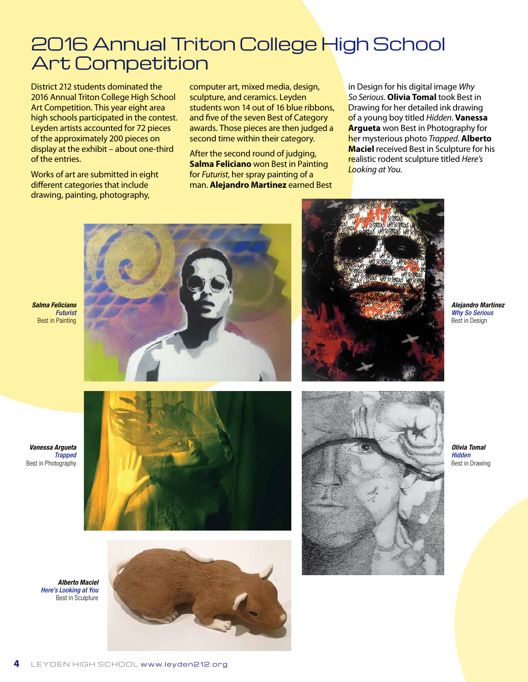### 2016 Annual Triton College High School Art Competition

District 212 students dominated the 2016 Annual Triton College High School Art Competition. This year eight area high schools participated in the contest. Leyden artists accounted for 72 pieces of the approximately 200 pieces on display at the exhibit – about one-third of the entries.

Works of art are submitted in eight different categories that include drawing, painting, photography,

computer art, mixed media, design, sculpture, and ceramics. Leyden students won 14 out of 16 blue ribbons, and five of the seven Best of Category awards. Those pieces are then judged a second time within their category.

After the second round of judging, **Salma Feliciano** won Best in Painting for *Futurist*, her spray painting of a man. **Alejandro Martinez** earned Best in Design for his digital image *Why So Serious*. **Olivia Tomal** took Best in Drawing for her detailed ink drawing of a young boy titled *Hidden*. **Vanessa Argueta** won Best in Photography for her mysterious photo *Trapped*. **Alberto Maciel** received Best in Sculpture for his realistic rodent sculpture titled *Here's Looking at You*.





*Alejandro Martinez Why So Serious* Best in Design

*Vanessa Argueta Trapped* Best in Photography





*Olivia Tomal Hidden* Best in Drawing

*Alberto Maciel Here's Looking at You* Best in Sculpture

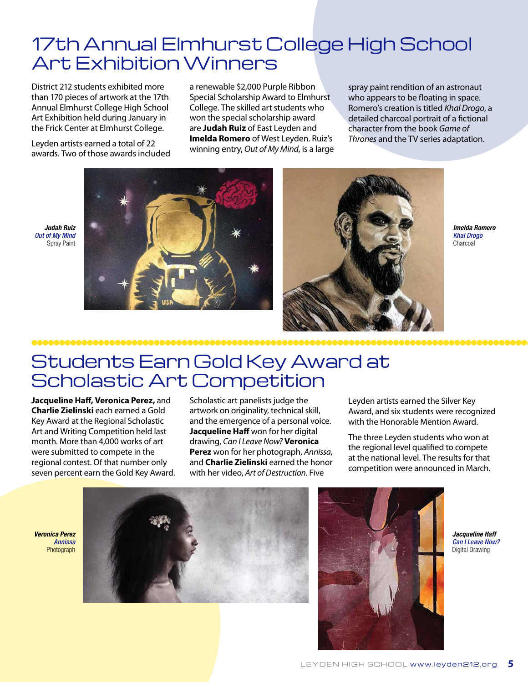### 17th Annual Elmhurst College High School Art Exhibition Winners

District 212 students exhibited more than 170 pieces of artwork at the 17th Annual Elmhurst College High School Art Exhibition held during January in the Frick Center at Elmhurst College.

Leyden artists earned a total of 22 awards. Two of those awards included

*Judah Ruiz Out of My Mind* Spray Paint a renewable \$2,000 Purple Ribbon Special Scholarship Award to Elmhurst College. The skilled art students who won the special scholarship award are **Judah Ruiz** of East Leyden and **Imelda Romero** of West Leyden. Ruiz's winning entry, *Out of My Mind*, is a large

spray paint rendition of an astronaut who appears to be floating in space. Romero's creation is titled *Khal Drogo*, a detailed charcoal portrait of a fictional character from the book *Game of Thrones* and the TV series adaptation.



*Imelda Romero Khal Drogo* Charcoal

### Students Earn Gold Key Award at Scholastic Art Competition

**Jacqueline Haff, Veronica Perez,** and **Charlie Zielinski** each earned a Gold Key Award at the Regional Scholastic Art and Writing Competition held last month. More than 4,000 works of art were submitted to compete in the regional contest. Of that number only seven percent earn the Gold Key Award.

Scholastic art panelists judge the artwork on originality, technical skill, and the emergence of a personal voice. **Jacqueline Haff** won for her digital drawing, *Can I Leave Now?* **Veronica Perez** won for her photograph, *Annissa*, and **Charlie Zielinski** earned the honor with her video, *Art of Destruction*. Five

Leyden artists earned the Silver Key Award, and six students were recognized with the Honorable Mention Award.

The three Leyden students who won at the regional level qualified to compete at the national level. The results for that competition were announced in March.

*Veronica Perez Annissa* Photograph





*Jacqueline Haff Can I Leave Now?* Digital Drawing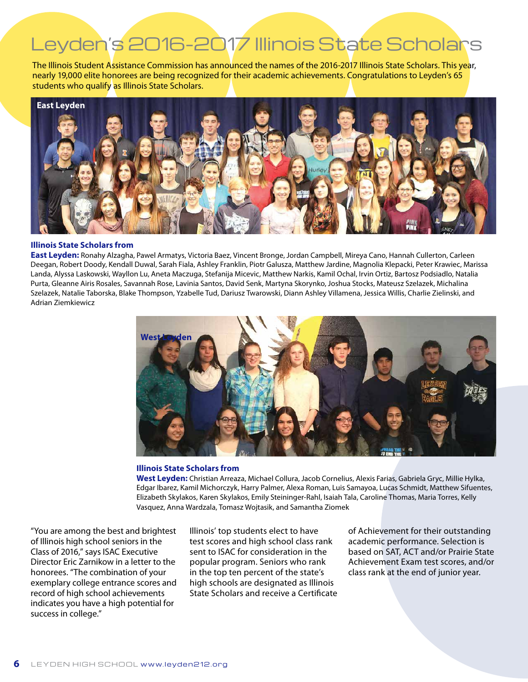# Leyden's 2016-2017 Illinois State Scholars

The Illinois Student Assistance Commission has announced the names of the 2016-2017 Illinois State Scholars. This year, nearly 19,000 elite honorees are being recognized for their academic achievements. Congratulations to Leyden's 65 students who qualify as Illinois State Scholars.



#### **Illinois State Scholars from**

**East Leyden:** Ronahy Alzagha, Pawel Armatys, Victoria Baez, Vincent Bronge, Jordan Campbell, Mireya Cano, Hannah Cullerton, Carleen Deegan, Robert Doody, Kendall Duwal, Sarah Fiala, Ashley Franklin, Piotr Galusza, Matthew Jardine, Magnolia Klepacki, Peter Krawiec, Marissa Landa, Alyssa Laskowski, Wayllon Lu, Aneta Maczuga, Stefanija Micevic, Matthew Narkis, Kamil Ochal, Irvin Ortiz, Bartosz Podsiadlo, Natalia Purta, Gleanne Airis Rosales, Savannah Rose, Lavinia Santos, David Senk, Martyna Skorynko, Joshua Stocks, Mateusz Szelazek, Michalina Szelazek, Natalie Taborska, Blake Thompson, Yzabelle Tud, Dariusz Twarowski, Diann Ashley Villamena, Jessica Willis, Charlie Zielinski, and Adrian Ziemkiewicz



#### **Illinois State Scholars from**

**West Leyden:** Christian Arreaza, Michael Collura, Jacob Cornelius, Alexis Farias, Gabriela Gryc, Millie Hylka, Edgar Ibarez, Kamil Michorczyk, Harry Palmer, Alexa Roman, Luis Samayoa, Lucas Schmidt, Matthew Sifuentes, Elizabeth Skylakos, Karen Skylakos, Emily Steininger-Rahl, Isaiah Tala, Caroline Thomas, Maria Torres, Kelly Vasquez, Anna Wardzala, Tomasz Wojtasik, and Samantha Ziomek

"You are among the best and brightest of Illinois high school seniors in the Class of 2016," says ISAC Executive Director Eric Zarnikow in a letter to the honorees. "The combination of your exemplary college entrance scores and record of high school achievements indicates you have a high potential for success in college."

Illinois' top students elect to have test scores and high school class rank sent to ISAC for consideration in the popular program. Seniors who rank in the top ten percent of the state's high schools are designated as Illinois State Scholars and receive a Certificate of Achievement for their outstanding academic performance. Selection is based on SAT, ACT and/or Prairie State Achievement Exam test scores, and/or class rank at the end of junior year.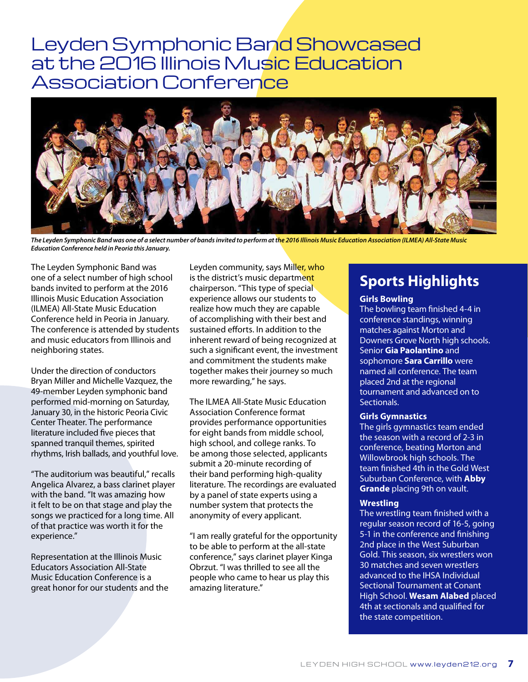### Leyden Symphonic Band Showcased at the 2016 Illinois Music Education **Association Conference**



*The Leyden Symphonic Band was one of a select number of bands invited to perform at the 2016 Illinois Music Education Association (ILMEA) All-State Music Education Conference held in Peoria this January.* 

The Leyden Symphonic Band was one of a select number of high school bands invited to perform at the 2016 Illinois Music Education Association (ILMEA) All-State Music Education Conference held in Peoria in January. The conference is attended by students and music educators from Illinois and neighboring states.

Under the direction of conductors Bryan Miller and Michelle Vazquez, the 49-member Leyden symphonic band performed mid-morning on Saturday, January 30, in the historic Peoria Civic Center Theater. The performance literature included five pieces that spanned tranquil themes, spirited rhythms, Irish ballads, and youthful love.

"The auditorium was beautiful," recalls Angelica Alvarez, a bass clarinet player with the band. "It was amazing how it felt to be on that stage and play the songs we practiced for a long time. All of that practice was worth it for the experience."

Representation at the Illinois Music Educators Association All-State Music Education Conference is a great honor for our students and the

Leyden community, says Miller, who is the district's music department chairperson. "This type of special experience allows our students to realize how much they are capable of accomplishing with their best and sustained efforts. In addition to the inherent reward of being recognized at such a significant event, the investment and commitment the students make together makes their journey so much more rewarding," he says.

The ILMEA All-State Music Education Association Conference format provides performance opportunities for eight bands from middle school, high school, and college ranks. To be among those selected, applicants submit a 20-minute recording of their band performing high-quality literature. The recordings are evaluated by a panel of state experts using a number system that protects the anonymity of every applicant.

"I am really grateful for the opportunity to be able to perform at the all-state conference," says clarinet player Kinga Obrzut. "I was thrilled to see all the people who came to hear us play this amazing literature."

### **Sports Highlights**

#### **Girls Bowling**

The bowling team finished 4-4 in conference standings, winning matches against Morton and Downers Grove North high schools. Senior **Gia Paolantino** and sophomore **Sara Carrillo** were named all conference. The team placed 2nd at the regional tournament and advanced on to Sectionals.

#### **Girls Gymnastics**

The girls gymnastics team ended the season with a record of 2-3 in conference, beating Morton and Willowbrook high schools. The team finished 4th in the Gold West Suburban Conference, with **Abby Grande** placing 9th on vault.

#### **Wrestling**

The wrestling team finished with a regular season record of 16-5, going 5-1 in the conference and finishing 2nd place in the West Suburban Gold. This season, six wrestlers won 30 matches and seven wrestlers advanced to the IHSA Individual Sectional Tournament at Conant High School. **Wesam Alabed** placed 4th at sectionals and qualified for the state competition.